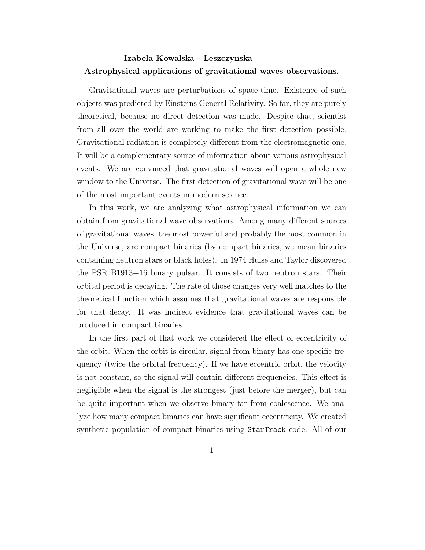## Izabela Kowalska - Leszczynska Astrophysical applications of gravitational waves observations.

Gravitational waves are perturbations of space-time. Existence of such objects was predicted by Einsteins General Relativity. So far, they are purely theoretical, because no direct detection was made. Despite that, scientist from all over the world are working to make the first detection possible. Gravitational radiation is completely different from the electromagnetic one. It will be a complementary source of information about various astrophysical events. We are convinced that gravitational waves will open a whole new window to the Universe. The first detection of gravitational wave will be one of the most important events in modern science.

In this work, we are analyzing what astrophysical information we can obtain from gravitational wave observations. Among many different sources of gravitational waves, the most powerful and probably the most common in the Universe, are compact binaries (by compact binaries, we mean binaries containing neutron stars or black holes). In 1974 Hulse and Taylor discovered the PSR B1913+16 binary pulsar. It consists of two neutron stars. Their orbital period is decaying. The rate of those changes very well matches to the theoretical function which assumes that gravitational waves are responsible for that decay. It was indirect evidence that gravitational waves can be produced in compact binaries.

In the first part of that work we considered the effect of eccentricity of the orbit. When the orbit is circular, signal from binary has one specific frequency (twice the orbital frequency). If we have eccentric orbit, the velocity is not constant, so the signal will contain different frequencies. This effect is negligible when the signal is the strongest (just before the merger), but can be quite important when we observe binary far from coalescence. We analyze how many compact binaries can have significant eccentricity. We created synthetic population of compact binaries using StarTrack code. All of our